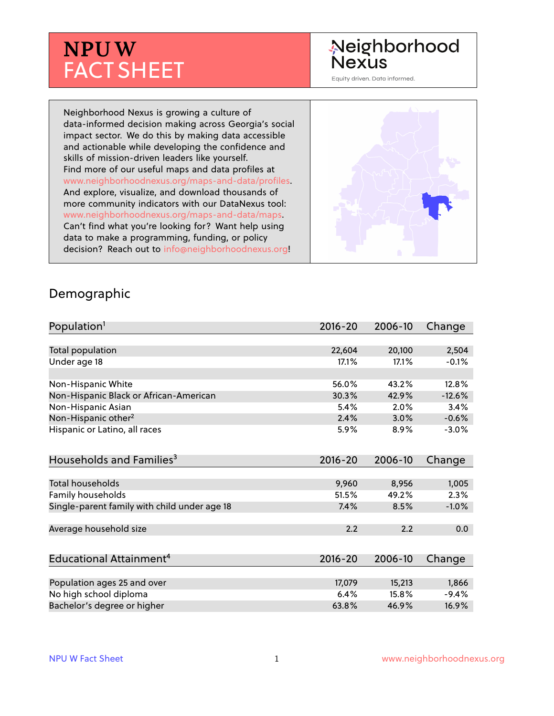# **NPUW** FACT SHEET

## Neighborhood **Nexus**

Equity driven. Data informed.

Neighborhood Nexus is growing a culture of data-informed decision making across Georgia's social impact sector. We do this by making data accessible and actionable while developing the confidence and skills of mission-driven leaders like yourself. Find more of our useful maps and data profiles at www.neighborhoodnexus.org/maps-and-data/profiles. And explore, visualize, and download thousands of more community indicators with our DataNexus tool: www.neighborhoodnexus.org/maps-and-data/maps. Can't find what you're looking for? Want help using data to make a programming, funding, or policy decision? Reach out to [info@neighborhoodnexus.org!](mailto:info@neighborhoodnexus.org)



#### Demographic

| Population <sup>1</sup>                      | $2016 - 20$ | 2006-10 | Change   |
|----------------------------------------------|-------------|---------|----------|
|                                              |             |         |          |
| Total population                             | 22,604      | 20,100  | 2,504    |
| Under age 18                                 | 17.1%       | 17.1%   | $-0.1%$  |
|                                              |             |         |          |
| Non-Hispanic White                           | 56.0%       | 43.2%   | 12.8%    |
| Non-Hispanic Black or African-American       | 30.3%       | 42.9%   | $-12.6%$ |
| Non-Hispanic Asian                           | 5.4%        | 2.0%    | 3.4%     |
| Non-Hispanic other <sup>2</sup>              | 2.4%        | 3.0%    | $-0.6%$  |
| Hispanic or Latino, all races                | 5.9%        | 8.9%    | $-3.0%$  |
|                                              |             |         |          |
| Households and Families <sup>3</sup>         | $2016 - 20$ | 2006-10 | Change   |
|                                              |             |         |          |
| <b>Total households</b>                      | 9,960       | 8,956   | 1,005    |
| Family households                            | 51.5%       | 49.2%   | 2.3%     |
| Single-parent family with child under age 18 | 7.4%        | 8.5%    | $-1.0%$  |
|                                              |             |         |          |
| Average household size                       | 2.2         | 2.2     | 0.0      |
|                                              |             |         |          |
| Educational Attainment <sup>4</sup>          | $2016 - 20$ | 2006-10 | Change   |
|                                              |             |         |          |
| Population ages 25 and over                  | 17,079      | 15,213  | 1,866    |
| No high school diploma                       | 6.4%        | 15.8%   | $-9.4%$  |
| Bachelor's degree or higher                  | 63.8%       | 46.9%   | 16.9%    |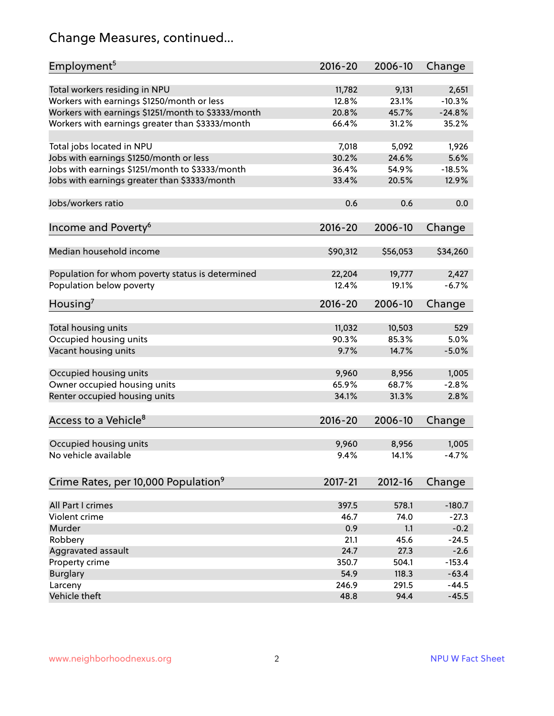## Change Measures, continued...

| Employment <sup>5</sup>                            | $2016 - 20$ | 2006-10  | Change   |
|----------------------------------------------------|-------------|----------|----------|
|                                                    |             |          |          |
| Total workers residing in NPU                      | 11,782      | 9,131    | 2,651    |
| Workers with earnings \$1250/month or less         | 12.8%       | 23.1%    | $-10.3%$ |
| Workers with earnings \$1251/month to \$3333/month | 20.8%       | 45.7%    | $-24.8%$ |
| Workers with earnings greater than \$3333/month    | 66.4%       | 31.2%    | 35.2%    |
| Total jobs located in NPU                          | 7,018       | 5,092    | 1,926    |
| Jobs with earnings \$1250/month or less            | 30.2%       | 24.6%    | 5.6%     |
| Jobs with earnings \$1251/month to \$3333/month    | 36.4%       | 54.9%    | $-18.5%$ |
| Jobs with earnings greater than \$3333/month       | 33.4%       | 20.5%    | 12.9%    |
|                                                    |             |          |          |
| Jobs/workers ratio                                 | 0.6         | 0.6      | 0.0      |
| Income and Poverty <sup>6</sup>                    | $2016 - 20$ | 2006-10  | Change   |
|                                                    |             |          |          |
| Median household income                            | \$90,312    | \$56,053 | \$34,260 |
|                                                    |             |          |          |
| Population for whom poverty status is determined   | 22,204      | 19,777   | 2,427    |
| Population below poverty                           | 12.4%       | 19.1%    | $-6.7%$  |
|                                                    |             |          |          |
| Housing <sup>7</sup>                               | $2016 - 20$ | 2006-10  | Change   |
| Total housing units                                | 11,032      | 10,503   | 529      |
| Occupied housing units                             | 90.3%       | 85.3%    | 5.0%     |
| Vacant housing units                               | 9.7%        | 14.7%    | $-5.0%$  |
|                                                    |             |          |          |
| Occupied housing units                             | 9,960       | 8,956    | 1,005    |
| Owner occupied housing units                       | 65.9%       | 68.7%    | $-2.8%$  |
| Renter occupied housing units                      | 34.1%       | 31.3%    | 2.8%     |
|                                                    |             |          |          |
| Access to a Vehicle <sup>8</sup>                   | $2016 - 20$ | 2006-10  | Change   |
|                                                    |             |          |          |
| Occupied housing units                             | 9,960       | 8,956    | 1,005    |
| No vehicle available                               | 9.4%        | 14.1%    | $-4.7%$  |
|                                                    |             |          |          |
| Crime Rates, per 10,000 Population <sup>9</sup>    | 2017-21     | 2012-16  | Change   |
|                                                    |             |          |          |
| All Part I crimes                                  | 397.5       | 578.1    | $-180.7$ |
| Violent crime                                      | 46.7        | 74.0     | $-27.3$  |
| Murder                                             | 0.9         | 1.1      | $-0.2$   |
| Robbery                                            | 21.1        | 45.6     | $-24.5$  |
| Aggravated assault                                 | 24.7        | 27.3     | $-2.6$   |
| Property crime                                     | 350.7       | 504.1    | $-153.4$ |
| <b>Burglary</b>                                    | 54.9        | 118.3    | $-63.4$  |
| Larceny                                            | 246.9       | 291.5    | $-44.5$  |
| Vehicle theft                                      | 48.8        | 94.4     | $-45.5$  |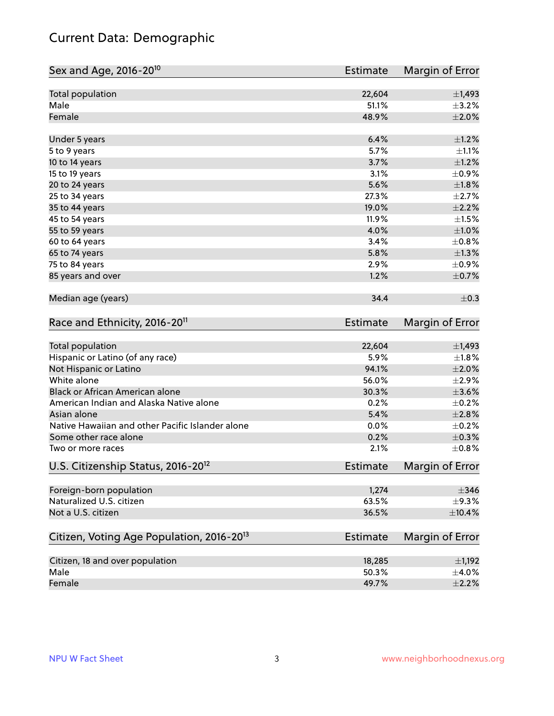## Current Data: Demographic

| Sex and Age, 2016-20 <sup>10</sup>                    | <b>Estimate</b> | Margin of Error |
|-------------------------------------------------------|-----------------|-----------------|
| Total population                                      | 22,604          | $\pm$ 1,493     |
| Male                                                  | 51.1%           | $\pm$ 3.2%      |
| Female                                                | 48.9%           | ±2.0%           |
| Under 5 years                                         | 6.4%            | $\pm 1.2\%$     |
| 5 to 9 years                                          | 5.7%            | $\pm 1.1\%$     |
| 10 to 14 years                                        | 3.7%            | $\pm 1.2\%$     |
| 15 to 19 years                                        | 3.1%            | $\pm$ 0.9%      |
| 20 to 24 years                                        | 5.6%            | $\pm 1.8\%$     |
| 25 to 34 years                                        | 27.3%           | $\pm 2.7\%$     |
| 35 to 44 years                                        | 19.0%           | $\pm 2.2\%$     |
| 45 to 54 years                                        | 11.9%           | $\pm 1.5\%$     |
| 55 to 59 years                                        | 4.0%            | $\pm1.0\%$      |
| 60 to 64 years                                        | 3.4%            | $\pm$ 0.8%      |
| 65 to 74 years                                        | 5.8%            | $\pm 1.3\%$     |
| 75 to 84 years                                        | 2.9%            | $\pm$ 0.9%      |
| 85 years and over                                     | 1.2%            | $\pm$ 0.7%      |
| Median age (years)                                    | 34.4            | $\pm$ 0.3       |
| Race and Ethnicity, 2016-20 <sup>11</sup>             | Estimate        | Margin of Error |
| <b>Total population</b>                               | 22,604          | $\pm$ 1,493     |
| Hispanic or Latino (of any race)                      | 5.9%            | $\pm1.8\%$      |
| Not Hispanic or Latino                                | 94.1%           | $\pm 2.0\%$     |
| White alone                                           | 56.0%           | $\pm 2.9\%$     |
| Black or African American alone                       | 30.3%           | $\pm 3.6\%$     |
| American Indian and Alaska Native alone               | 0.2%            | $\pm$ 0.2%      |
| Asian alone                                           | 5.4%            | $\pm 2.8\%$     |
| Native Hawaiian and other Pacific Islander alone      | 0.0%            | $\pm$ 0.2%      |
| Some other race alone                                 | 0.2%            | $\pm$ 0.3%      |
| Two or more races                                     | 2.1%            | ±0.8%           |
| U.S. Citizenship Status, 2016-20 <sup>12</sup>        | <b>Estimate</b> | Margin of Error |
| Foreign-born population                               | 1,274           | $\pm$ 346       |
| Naturalized U.S. citizen                              | 63.5%           | $\pm$ 9.3%      |
| Not a U.S. citizen                                    | 36.5%           | $\pm$ 10.4%     |
| Citizen, Voting Age Population, 2016-20 <sup>13</sup> | <b>Estimate</b> | Margin of Error |
| Citizen, 18 and over population                       | 18,285          | $\pm$ 1,192     |
| Male                                                  | 50.3%           | $\pm$ 4.0%      |
| Female                                                | 49.7%           | $\pm 2.2\%$     |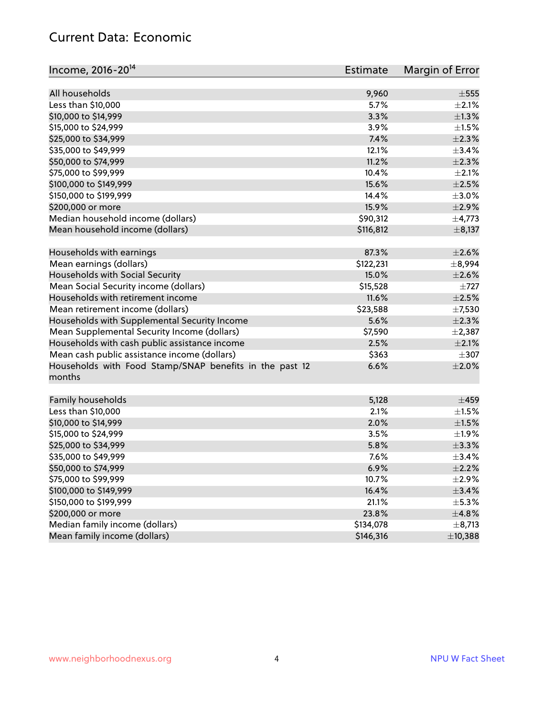#### Current Data: Economic

| Income, 2016-20 <sup>14</sup>                                     | <b>Estimate</b> | Margin of Error |
|-------------------------------------------------------------------|-----------------|-----------------|
| All households                                                    | 9,960           | $\pm$ 555       |
| Less than \$10,000                                                | 5.7%            | $\pm 2.1\%$     |
| \$10,000 to \$14,999                                              | 3.3%            | $\pm 1.3\%$     |
| \$15,000 to \$24,999                                              | 3.9%            | $\pm 1.5\%$     |
| \$25,000 to \$34,999                                              | 7.4%            | $\pm 2.3\%$     |
| \$35,000 to \$49,999                                              | 12.1%           | ±3.4%           |
| \$50,000 to \$74,999                                              | 11.2%           | $\pm 2.3\%$     |
| \$75,000 to \$99,999                                              | 10.4%           | $\pm 2.1\%$     |
| \$100,000 to \$149,999                                            | 15.6%           | $\pm 2.5\%$     |
| \$150,000 to \$199,999                                            | 14.4%           | $\pm 3.0\%$     |
| \$200,000 or more                                                 | 15.9%           | $\pm 2.9\%$     |
| Median household income (dollars)                                 | \$90,312        | $\pm$ 4,773     |
| Mean household income (dollars)                                   | \$116,812       | $\pm$ 8,137     |
|                                                                   |                 |                 |
| Households with earnings                                          | 87.3%           | $\pm 2.6\%$     |
| Mean earnings (dollars)                                           | \$122,231       | $\pm$ 8,994     |
| Households with Social Security                                   | 15.0%           | $\pm 2.6\%$     |
| Mean Social Security income (dollars)                             | \$15,528        | $\pm 727$       |
| Households with retirement income                                 | 11.6%           | $\pm 2.5\%$     |
| Mean retirement income (dollars)                                  | \$23,588        | $\pm$ 7,530     |
| Households with Supplemental Security Income                      | 5.6%            | $\pm 2.3\%$     |
| Mean Supplemental Security Income (dollars)                       | \$7,590         | $\pm$ 2,387     |
| Households with cash public assistance income                     | 2.5%            | $\pm 2.1\%$     |
| Mean cash public assistance income (dollars)                      | \$363           | $\pm$ 307       |
| Households with Food Stamp/SNAP benefits in the past 12<br>months | 6.6%            | $\pm 2.0\%$     |
| Family households                                                 | 5,128           | $\pm$ 459       |
| Less than \$10,000                                                | 2.1%            | $\pm 1.5\%$     |
| \$10,000 to \$14,999                                              | 2.0%            | $\pm 1.5\%$     |
| \$15,000 to \$24,999                                              | 3.5%            | $\pm 1.9\%$     |
| \$25,000 to \$34,999                                              | 5.8%            | $\pm$ 3.3%      |
| \$35,000 to \$49,999                                              | 7.6%            | ±3.4%           |
| \$50,000 to \$74,999                                              | 6.9%            | $\pm 2.2\%$     |
| \$75,000 to \$99,999                                              | 10.7%           | $\pm 2.9\%$     |
| \$100,000 to \$149,999                                            | 16.4%           | $\pm$ 3.4%      |
| \$150,000 to \$199,999                                            | 21.1%           | $\pm$ 5.3%      |
| \$200,000 or more                                                 | 23.8%           | ±4.8%           |
| Median family income (dollars)                                    | \$134,078       | $\pm$ 8,713     |
| Mean family income (dollars)                                      | \$146,316       | ±10,388         |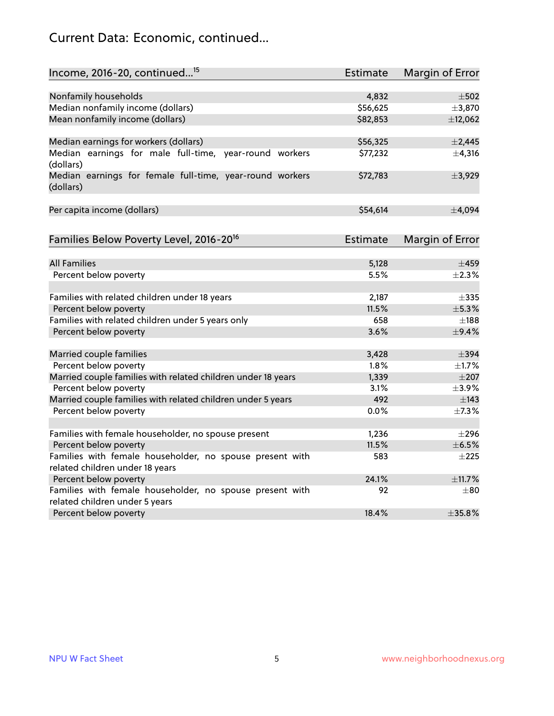## Current Data: Economic, continued...

| Income, 2016-20, continued <sup>15</sup>                              | <b>Estimate</b> | Margin of Error        |
|-----------------------------------------------------------------------|-----------------|------------------------|
|                                                                       |                 |                        |
| Nonfamily households                                                  | 4,832           | $\pm$ 502              |
| Median nonfamily income (dollars)                                     | \$56,625        | ±3,870                 |
| Mean nonfamily income (dollars)                                       | \$82,853        | ±12,062                |
| Median earnings for workers (dollars)                                 | \$56,325        | $\pm$ 2,445            |
| Median earnings for male full-time, year-round workers<br>(dollars)   | \$77,232        | ±4,316                 |
| Median earnings for female full-time, year-round workers<br>(dollars) | \$72,783        | ±3,929                 |
| Per capita income (dollars)                                           | \$54,614        | ±4,094                 |
| Families Below Poverty Level, 2016-20 <sup>16</sup>                   | Estimate        | <b>Margin of Error</b> |
|                                                                       |                 |                        |
| <b>All Families</b>                                                   | 5,128           | $\pm 459$              |
| Percent below poverty                                                 | 5.5%            | $+2.3%$                |
| Families with related children under 18 years                         | 2,187           | $\pm$ 335              |
| Percent below poverty                                                 | 11.5%           | ±5.3%                  |
| Families with related children under 5 years only                     | 658             | $\pm$ 188              |
| Percent below poverty                                                 | 3.6%            | $\pm$ 9.4%             |
| Married couple families                                               | 3,428           | $\pm$ 394              |
| Percent below poverty                                                 | 1.8%            | $\pm1.7\%$             |
| Married couple families with related children under 18 years          | 1,339           | $\pm 207$              |
| Percent below poverty                                                 | 3.1%            | $\pm$ 3.9%             |
| Married couple families with related children under 5 years           | 492             | $\pm$ 143              |
| Percent below poverty                                                 | $0.0\%$         | ±7.3%                  |
| Families with female householder, no spouse present                   | 1,236           | $\pm 296$              |
| Percent below poverty                                                 | 11.5%           | $\pm$ 6.5%             |
| Families with female householder, no spouse present with              | 583             | $+225$                 |
| related children under 18 years                                       |                 |                        |
| Percent below poverty                                                 | 24.1%           | ±11.7%                 |
| Families with female householder, no spouse present with              | 92              | $\pm 80$               |
| related children under 5 years                                        |                 |                        |
| Percent below poverty                                                 | 18.4%           | ±35.8%                 |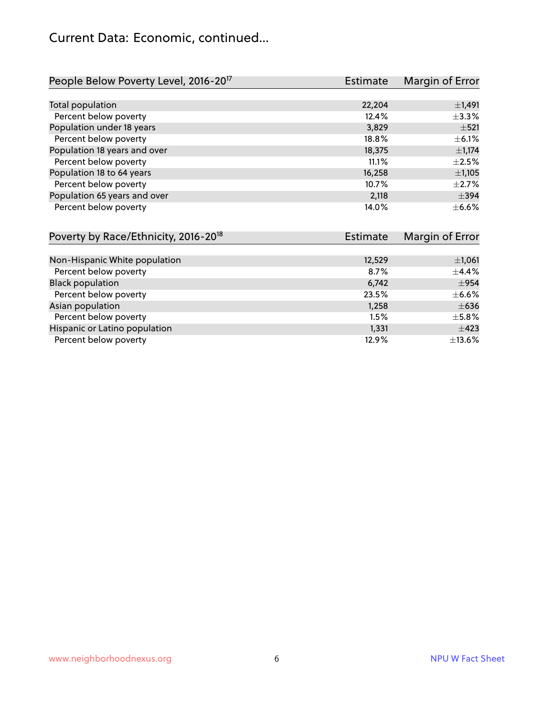#### Current Data: Economic, continued...

| People Below Poverty Level, 2016-20 <sup>17</sup> | <b>Estimate</b> | Margin of Error |
|---------------------------------------------------|-----------------|-----------------|
|                                                   |                 |                 |
| Total population                                  | 22,204          | $\pm$ 1,491     |
| Percent below poverty                             | 12.4%           | ±3.3%           |
| Population under 18 years                         | 3,829           | $\pm$ 521       |
| Percent below poverty                             | 18.8%           | $\pm$ 6.1%      |
| Population 18 years and over                      | 18,375          | ±1,174          |
| Percent below poverty                             | 11.1%           | $\pm 2.5\%$     |
| Population 18 to 64 years                         | 16,258          | ±1,105          |
| Percent below poverty                             | 10.7%           | $\pm 2.7\%$     |
| Population 65 years and over                      | 2,118           | $\pm$ 394       |
| Percent below poverty                             | 14.0%           | $\pm$ 6.6%      |

| Poverty by Race/Ethnicity, 2016-20 <sup>18</sup><br>Estimate |        | Margin of Error |  |
|--------------------------------------------------------------|--------|-----------------|--|
|                                                              |        |                 |  |
| Non-Hispanic White population                                | 12,529 | $\pm$ 1,061     |  |
| Percent below poverty                                        | 8.7%   | $\pm$ 4.4%      |  |
| <b>Black population</b>                                      | 6,742  | $\pm$ 954       |  |
| Percent below poverty                                        | 23.5%  | $\pm$ 6.6%      |  |
| Asian population                                             | 1,258  | $\pm 636$       |  |
| Percent below poverty                                        | 1.5%   | $\pm$ 5.8%      |  |
| Hispanic or Latino population                                | 1,331  | $\pm 423$       |  |
| Percent below poverty                                        | 12.9%  | $\pm$ 13.6%     |  |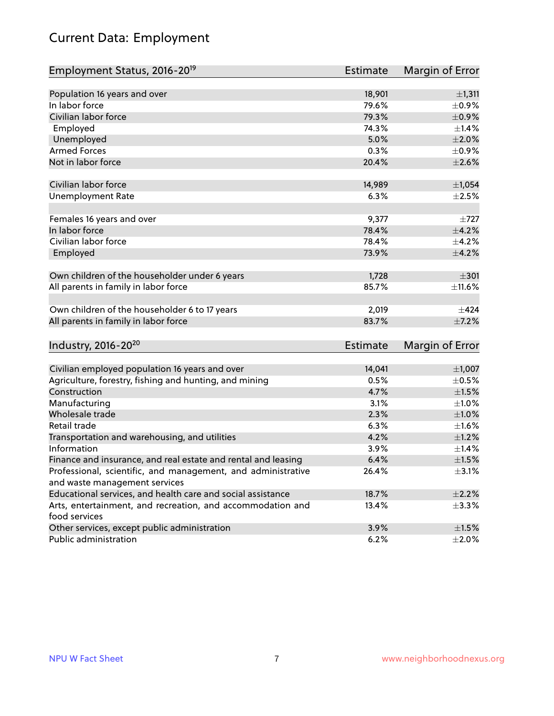## Current Data: Employment

| Employment Status, 2016-20 <sup>19</sup>                      | <b>Estimate</b> | Margin of Error |
|---------------------------------------------------------------|-----------------|-----------------|
|                                                               |                 |                 |
| Population 16 years and over                                  | 18,901          | ±1,311          |
| In labor force                                                | 79.6%           | $\pm$ 0.9%      |
| Civilian labor force                                          | 79.3%           | $\pm$ 0.9%      |
| Employed                                                      | 74.3%           | $\pm$ 1.4%      |
| Unemployed                                                    | 5.0%            | $\pm 2.0\%$     |
| <b>Armed Forces</b>                                           | 0.3%            | $\pm$ 0.9%      |
| Not in labor force                                            | 20.4%           | $\pm 2.6\%$     |
|                                                               |                 |                 |
| Civilian labor force                                          | 14,989          | $\pm$ 1,054     |
| <b>Unemployment Rate</b>                                      | 6.3%            | $\pm 2.5\%$     |
| Females 16 years and over                                     | 9,377           | $\pm 727$       |
| In labor force                                                | 78.4%           | $\pm 4.2\%$     |
| Civilian labor force                                          | 78.4%           | $\pm$ 4.2%      |
| Employed                                                      | 73.9%           | $\pm$ 4.2%      |
|                                                               |                 |                 |
| Own children of the householder under 6 years                 | 1,728           | $\pm$ 301       |
| All parents in family in labor force                          | 85.7%           | ±11.6%          |
|                                                               |                 |                 |
| Own children of the householder 6 to 17 years                 | 2,019           | $\pm 424$       |
| All parents in family in labor force                          | 83.7%           | $\pm$ 7.2%      |
|                                                               |                 |                 |
| Industry, 2016-20 <sup>20</sup>                               | Estimate        | Margin of Error |
|                                                               |                 |                 |
| Civilian employed population 16 years and over                | 14,041          | ±1,007          |
| Agriculture, forestry, fishing and hunting, and mining        | 0.5%            | $\pm$ 0.5%      |
| Construction                                                  | 4.7%            | $\pm1.5\%$      |
| Manufacturing                                                 | 3.1%            | ±1.0%           |
| Wholesale trade                                               | 2.3%            | $\pm1.0\%$      |
| Retail trade                                                  | 6.3%            | $\pm 1.6\%$     |
| Transportation and warehousing, and utilities                 | 4.2%            | $\pm 1.2\%$     |
| Information                                                   | 3.9%            | ±1.4%           |
| Finance and insurance, and real estate and rental and leasing | 6.4%            | $\pm1.5\%$      |
| Professional, scientific, and management, and administrative  | 26.4%           | $\pm$ 3.1%      |
| and waste management services                                 |                 |                 |
| Educational services, and health care and social assistance   | 18.7%           | $\pm 2.2\%$     |
| Arts, entertainment, and recreation, and accommodation and    | 13.4%           | ±3.3%           |
| food services                                                 |                 |                 |
| Other services, except public administration                  | 3.9%            | $\pm 1.5\%$     |
| Public administration                                         | 6.2%            | $\pm 2.0\%$     |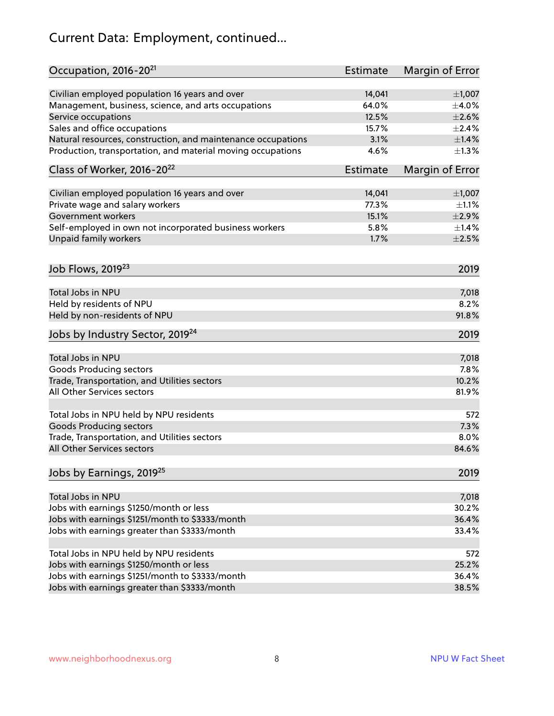## Current Data: Employment, continued...

| Occupation, 2016-20 <sup>21</sup>                            | Estimate        | Margin of Error |
|--------------------------------------------------------------|-----------------|-----------------|
| Civilian employed population 16 years and over               | 14,041          | $\pm$ 1,007     |
| Management, business, science, and arts occupations          | 64.0%           | $\pm$ 4.0%      |
| Service occupations                                          | 12.5%           | $\pm 2.6\%$     |
| Sales and office occupations                                 | 15.7%           | $\pm 2.4\%$     |
| Natural resources, construction, and maintenance occupations | 3.1%            | $\pm1.4\%$      |
| Production, transportation, and material moving occupations  | 4.6%            | $\pm 1.3\%$     |
| Class of Worker, 2016-20 <sup>22</sup>                       | <b>Estimate</b> | Margin of Error |
| Civilian employed population 16 years and over               | 14,041          | $\pm$ 1,007     |
| Private wage and salary workers                              | 77.3%           | $\pm 1.1\%$     |
| <b>Government workers</b>                                    | 15.1%           | $\pm 2.9\%$     |
| Self-employed in own not incorporated business workers       | 5.8%            | $\pm$ 1.4%      |
| Unpaid family workers                                        | 1.7%            | $\pm 2.5\%$     |
| Job Flows, 2019 <sup>23</sup>                                |                 | 2019            |
| Total Jobs in NPU                                            |                 | 7,018           |
| Held by residents of NPU                                     |                 | 8.2%            |
| Held by non-residents of NPU                                 |                 | 91.8%           |
| Jobs by Industry Sector, 2019 <sup>24</sup>                  |                 | 2019            |
| Total Jobs in NPU                                            |                 | 7,018           |
| <b>Goods Producing sectors</b>                               |                 | 7.8%            |
| Trade, Transportation, and Utilities sectors                 |                 | 10.2%           |
| All Other Services sectors                                   |                 |                 |
|                                                              |                 | 81.9%           |
| Total Jobs in NPU held by NPU residents                      |                 | 572             |
| <b>Goods Producing sectors</b>                               |                 | 7.3%            |
| Trade, Transportation, and Utilities sectors                 |                 | 8.0%            |
| All Other Services sectors                                   |                 | 84.6%           |
| Jobs by Earnings, 2019 <sup>25</sup>                         |                 | 2019            |
| Total Jobs in NPU                                            |                 | 7,018           |
| Jobs with earnings \$1250/month or less                      |                 | 30.2%           |
| Jobs with earnings \$1251/month to \$3333/month              |                 | 36.4%           |
| Jobs with earnings greater than \$3333/month                 |                 | 33.4%           |
|                                                              |                 |                 |
| Total Jobs in NPU held by NPU residents                      |                 | 572             |
| Jobs with earnings \$1250/month or less                      |                 | 25.2%           |
| Jobs with earnings \$1251/month to \$3333/month              |                 | 36.4%           |
| Jobs with earnings greater than \$3333/month                 |                 | 38.5%           |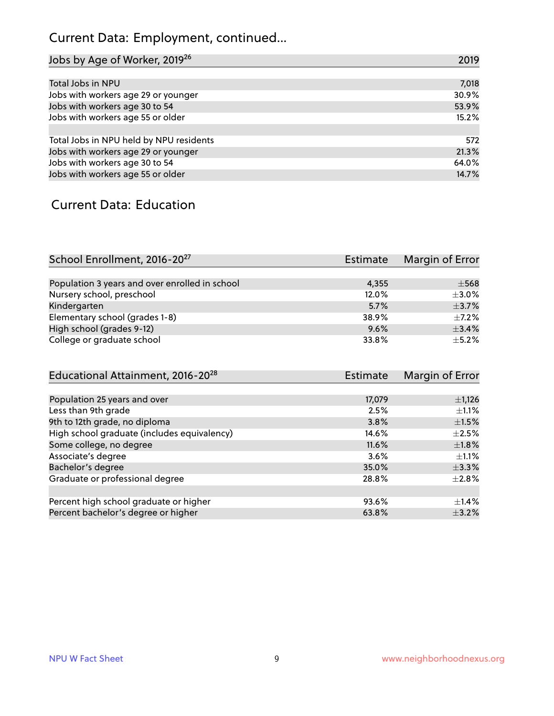## Current Data: Employment, continued...

| Jobs by Age of Worker, 2019 <sup>26</sup> | 2019  |
|-------------------------------------------|-------|
|                                           |       |
| Total Jobs in NPU                         | 7,018 |
| Jobs with workers age 29 or younger       | 30.9% |
| Jobs with workers age 30 to 54            | 53.9% |
| Jobs with workers age 55 or older         | 15.2% |
|                                           |       |
| Total Jobs in NPU held by NPU residents   | 572   |
| Jobs with workers age 29 or younger       | 21.3% |
| Jobs with workers age 30 to 54            | 64.0% |
| Jobs with workers age 55 or older         | 14.7% |

#### Current Data: Education

| School Enrollment, 2016-20 <sup>27</sup>       | Estimate | Margin of Error |
|------------------------------------------------|----------|-----------------|
|                                                |          |                 |
| Population 3 years and over enrolled in school | 4.355    | $\pm$ 568       |
| Nursery school, preschool                      | 12.0%    | $\pm$ 3.0%      |
| Kindergarten                                   | 5.7%     | $\pm$ 3.7%      |
| Elementary school (grades 1-8)                 | 38.9%    | $\pm$ 7.2%      |
| High school (grades 9-12)                      | 9.6%     | ±3.4%           |
| College or graduate school                     | 33.8%    | $\pm$ 5.2%      |

| Educational Attainment, 2016-20 <sup>28</sup> | <b>Estimate</b> | Margin of Error |
|-----------------------------------------------|-----------------|-----------------|
|                                               |                 |                 |
| Population 25 years and over                  | 17,079          | $\pm$ 1,126     |
| Less than 9th grade                           | 2.5%            | $\pm 1.1\%$     |
| 9th to 12th grade, no diploma                 | 3.8%            | $\pm 1.5\%$     |
| High school graduate (includes equivalency)   | 14.6%           | $\pm 2.5\%$     |
| Some college, no degree                       | 11.6%           | $\pm1.8\%$      |
| Associate's degree                            | 3.6%            | $\pm 1.1\%$     |
| Bachelor's degree                             | 35.0%           | $\pm$ 3.3%      |
| Graduate or professional degree               | 28.8%           | $\pm 2.8\%$     |
|                                               |                 |                 |
| Percent high school graduate or higher        | 93.6%           | $\pm$ 1.4%      |
| Percent bachelor's degree or higher           | 63.8%           | $\pm$ 3.2%      |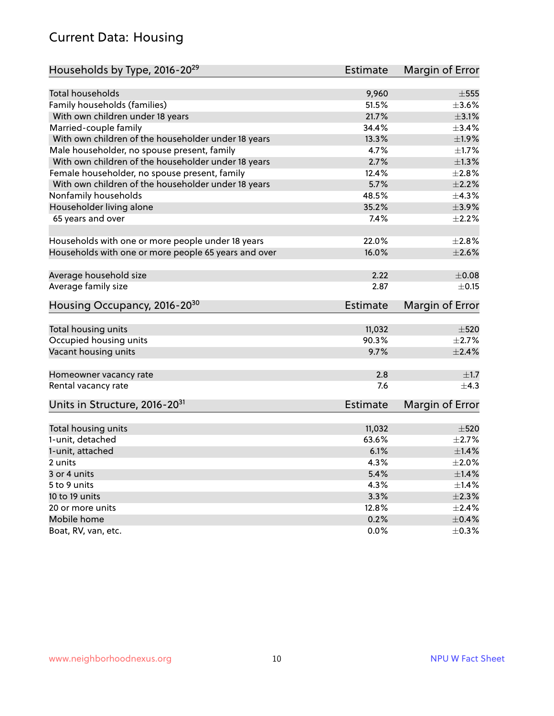#### Current Data: Housing

| Households by Type, 2016-20 <sup>29</sup>            | <b>Estimate</b> | Margin of Error        |
|------------------------------------------------------|-----------------|------------------------|
|                                                      |                 |                        |
| Total households                                     | 9,960           | $\pm$ 555              |
| Family households (families)                         | 51.5%           | $\pm 3.6\%$            |
| With own children under 18 years                     | 21.7%           | $\pm 3.1\%$            |
| Married-couple family                                | 34.4%           | ±3.4%                  |
| With own children of the householder under 18 years  | 13.3%           | ±1.9%                  |
| Male householder, no spouse present, family          | 4.7%            | ±1.7%                  |
| With own children of the householder under 18 years  | 2.7%            | $\pm 1.3\%$            |
| Female householder, no spouse present, family        | 12.4%           | $\pm 2.8\%$            |
| With own children of the householder under 18 years  | 5.7%            | $\pm 2.2\%$            |
| Nonfamily households                                 | 48.5%           | ±4.3%                  |
| Householder living alone                             | 35.2%           | $\pm$ 3.9%             |
| 65 years and over                                    | 7.4%            | $\pm 2.2\%$            |
|                                                      |                 |                        |
| Households with one or more people under 18 years    | 22.0%           | $\pm 2.8\%$            |
| Households with one or more people 65 years and over | 16.0%           | $\pm 2.6\%$            |
|                                                      |                 |                        |
| Average household size                               | 2.22            | $\pm 0.08$             |
| Average family size                                  | 2.87            | $\pm$ 0.15             |
| Housing Occupancy, 2016-20 <sup>30</sup>             | <b>Estimate</b> | Margin of Error        |
|                                                      |                 |                        |
| Total housing units                                  | 11,032          | $\pm$ 520              |
| Occupied housing units                               | 90.3%           | $\pm 2.7\%$            |
| Vacant housing units                                 | 9.7%            | $\pm 2.4\%$            |
| Homeowner vacancy rate                               | 2.8             | $\pm 1.7$              |
| Rental vacancy rate                                  | 7.6             | $+4.3$                 |
| Units in Structure, 2016-20 <sup>31</sup>            | Estimate        | <b>Margin of Error</b> |
|                                                      |                 |                        |
| Total housing units                                  | 11,032          | $\pm 520$              |
| 1-unit, detached                                     | 63.6%           | $\pm 2.7\%$            |
| 1-unit, attached                                     | 6.1%            | $\pm1.4\%$             |
| 2 units                                              | 4.3%            | $\pm 2.0\%$            |
| 3 or 4 units                                         | 5.4%            | ±1.4%                  |
| 5 to 9 units                                         | 4.3%            | $\pm$ 1.4%             |
| 10 to 19 units                                       | 3.3%            | $\pm 2.3\%$            |
| 20 or more units                                     | 12.8%           | $\pm 2.4\%$            |
| Mobile home                                          | 0.2%            | $\pm$ 0.4%             |
| Boat, RV, van, etc.                                  | $0.0\%$         | $\pm$ 0.3%             |
|                                                      |                 |                        |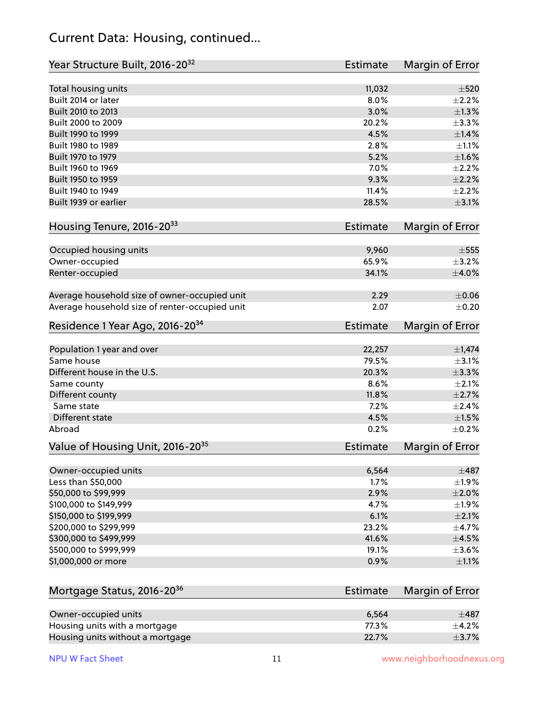#### Current Data: Housing, continued...

| Year Structure Built, 2016-20 <sup>32</sup>    | Estimate | Margin of Error        |
|------------------------------------------------|----------|------------------------|
| Total housing units                            | 11,032   | $\pm 520$              |
| Built 2014 or later                            | 8.0%     | $\pm 2.2\%$            |
| Built 2010 to 2013                             | 3.0%     | $\pm 1.3\%$            |
| Built 2000 to 2009                             | 20.2%    | ±3.3%                  |
| Built 1990 to 1999                             | 4.5%     | $\pm$ 1.4%             |
| Built 1980 to 1989                             | 2.8%     | $\pm 1.1\%$            |
| Built 1970 to 1979                             | 5.2%     | $\pm1.6\%$             |
| Built 1960 to 1969                             | 7.0%     | $\pm 2.2\%$            |
| Built 1950 to 1959                             | 9.3%     | $\pm 2.2\%$            |
| Built 1940 to 1949                             | 11.4%    | $\pm 2.2\%$            |
| Built 1939 or earlier                          | 28.5%    | $\pm 3.1\%$            |
| Housing Tenure, 2016-2033                      | Estimate | Margin of Error        |
|                                                |          |                        |
| Occupied housing units                         | 9,960    | $\pm$ 555              |
| Owner-occupied                                 | 65.9%    | $\pm$ 3.2%             |
| Renter-occupied                                | 34.1%    | $\pm 4.0\%$            |
| Average household size of owner-occupied unit  | 2.29     | $\pm 0.06$             |
| Average household size of renter-occupied unit | 2.07     | $\pm$ 0.20             |
| Residence 1 Year Ago, 2016-20 <sup>34</sup>    | Estimate | <b>Margin of Error</b> |
|                                                |          |                        |
| Population 1 year and over                     | 22,257   | $\pm$ 1,474            |
| Same house                                     | 79.5%    | $\pm$ 3.1%             |
| Different house in the U.S.                    | 20.3%    | $\pm$ 3.3%             |
| Same county                                    | 8.6%     | $\pm 2.1\%$            |
| Different county                               | 11.8%    | $\pm 2.7\%$            |
| Same state                                     | 7.2%     | $\pm 2.4\%$            |
| Different state                                | 4.5%     | $\pm1.5\%$             |
| Abroad                                         | 0.2%     | $\pm$ 0.2%             |
| Value of Housing Unit, 2016-20 <sup>35</sup>   | Estimate | <b>Margin of Error</b> |
| Owner-occupied units                           | 6,564    | $\pm 487$              |
| Less than \$50,000                             | 1.7%     | $\pm 1.9\%$            |
| \$50,000 to \$99,999                           | 2.9%     | $\pm 2.0\%$            |
| \$100,000 to \$149,999                         | 4.7%     | ±1.9%                  |
| \$150,000 to \$199,999                         | 6.1%     | $\pm 2.1\%$            |
| \$200,000 to \$299,999                         | 23.2%    | $\pm$ 4.7%             |
| \$300,000 to \$499,999                         | 41.6%    | $\pm$ 4.5%             |
| \$500,000 to \$999,999                         | 19.1%    | $\pm 3.6\%$            |
| \$1,000,000 or more                            | 0.9%     | $\pm 1.1\%$            |
|                                                |          |                        |
| Mortgage Status, 2016-20 <sup>36</sup>         | Estimate | Margin of Error        |
| Owner-occupied units                           | 6,564    | $\pm$ 487              |
| Housing units with a mortgage                  | 77.3%    | $\pm$ 4.2%             |
| Housing units without a mortgage               | 22.7%    | $\pm$ 3.7%             |

Housing units without a mortgage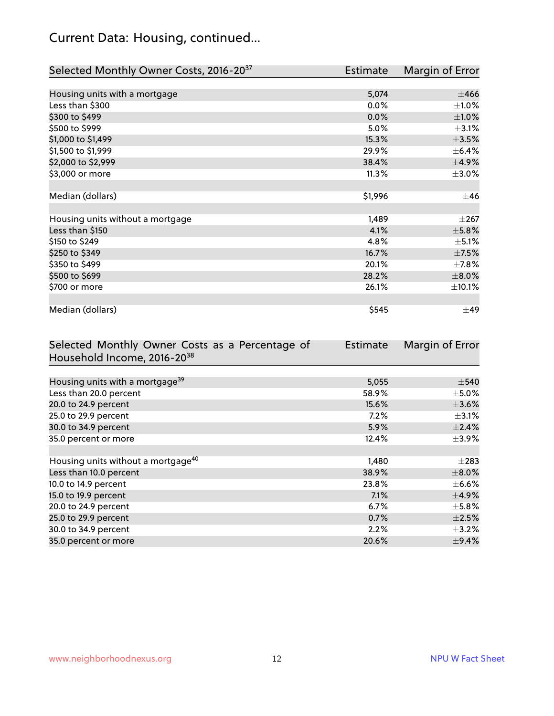## Current Data: Housing, continued...

| Selected Monthly Owner Costs, 2016-20 <sup>37</sup> | Estimate | Margin of Error |
|-----------------------------------------------------|----------|-----------------|
|                                                     |          |                 |
| Housing units with a mortgage                       | 5,074    | $\pm 466$       |
| Less than \$300                                     | 0.0%     | $\pm 1.0\%$     |
| \$300 to \$499                                      | 0.0%     | $\pm1.0\%$      |
| \$500 to \$999                                      | 5.0%     | $\pm$ 3.1%      |
| \$1,000 to \$1,499                                  | 15.3%    | $\pm$ 3.5%      |
| \$1,500 to \$1,999                                  | 29.9%    | $\pm$ 6.4%      |
| \$2,000 to \$2,999                                  | 38.4%    | $\pm$ 4.9%      |
| \$3,000 or more                                     | 11.3%    | $\pm 3.0\%$     |
|                                                     |          |                 |
| Median (dollars)                                    | \$1,996  | $\pm 46$        |
|                                                     |          |                 |
| Housing units without a mortgage                    | 1,489    | $\pm 267$       |
| Less than \$150                                     | 4.1%     | $\pm$ 5.8%      |
| \$150 to \$249                                      | 4.8%     | $\pm$ 5.1%      |
| \$250 to \$349                                      | 16.7%    | $\pm$ 7.5%      |
| \$350 to \$499                                      | 20.1%    | $\pm$ 7.8%      |
| \$500 to \$699                                      | 28.2%    | $\pm 8.0\%$     |
| \$700 or more                                       | 26.1%    | $\pm$ 10.1%     |
|                                                     |          |                 |
| Median (dollars)                                    | \$545    | $\pm$ 49        |

| Selected Monthly Owner Costs as a Percentage of | <b>Estimate</b> | Margin of Error |
|-------------------------------------------------|-----------------|-----------------|
| Household Income, 2016-20 <sup>38</sup>         |                 |                 |
|                                                 |                 |                 |
| Housing units with a mortgage <sup>39</sup>     | 5,055           | $\pm$ 540       |
| Less than 20.0 percent                          | 58.9%           | $\pm$ 5.0%      |
| 20.0 to 24.9 percent                            | 15.6%           | $\pm 3.6\%$     |
| 25.0 to 29.9 percent                            | 7.2%            | $\pm$ 3.1%      |
| 30.0 to 34.9 percent                            | 5.9%            | $\pm$ 2.4%      |
| 35.0 percent or more                            | 12.4%           | $\pm$ 3.9%      |
|                                                 |                 |                 |
| Housing units without a mortgage <sup>40</sup>  | 1,480           | $\pm 283$       |
| Less than 10.0 percent                          | 38.9%           | $\pm$ 8.0%      |
| 10.0 to 14.9 percent                            | 23.8%           | $\pm$ 6.6%      |
| 15.0 to 19.9 percent                            | 7.1%            | $\pm$ 4.9%      |
| 20.0 to 24.9 percent                            | 6.7%            | $\pm$ 5.8%      |
| 25.0 to 29.9 percent                            | 0.7%            | $\pm 2.5\%$     |
| 30.0 to 34.9 percent                            | 2.2%            | $\pm$ 3.2%      |
| 35.0 percent or more                            | 20.6%           | $\pm$ 9.4%      |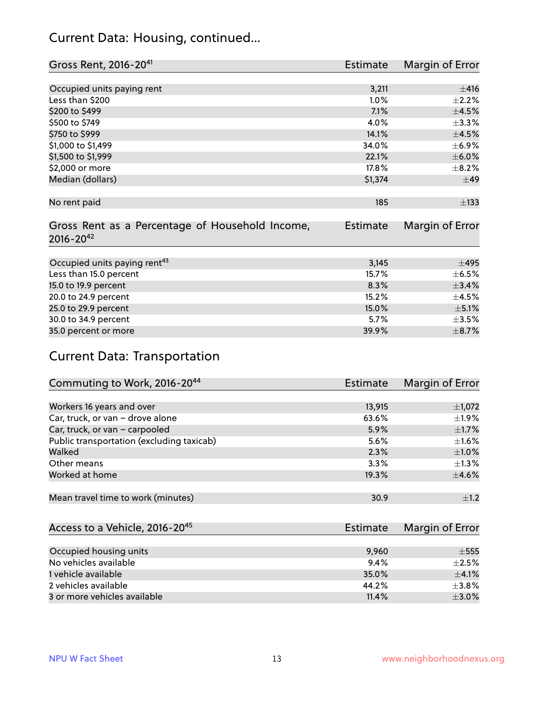#### Current Data: Housing, continued...

| Gross Rent, 2016-20 <sup>41</sup>                                   | Estimate        | Margin of Error |
|---------------------------------------------------------------------|-----------------|-----------------|
|                                                                     |                 |                 |
| Occupied units paying rent                                          | 3,211           | ±416            |
| Less than \$200                                                     | 1.0%            | $\pm 2.2\%$     |
| \$200 to \$499                                                      | 7.1%            | $\pm 4.5\%$     |
| \$500 to \$749                                                      | 4.0%            | $\pm$ 3.3%      |
| \$750 to \$999                                                      | 14.1%           | $\pm 4.5\%$     |
| \$1,000 to \$1,499                                                  | 34.0%           | $\pm$ 6.9%      |
| \$1,500 to \$1,999                                                  | 22.1%           | $\pm$ 6.0%      |
| \$2,000 or more                                                     | 17.8%           | $\pm$ 8.2%      |
| Median (dollars)                                                    | \$1,374         | ±49             |
|                                                                     |                 |                 |
| No rent paid                                                        | 185             | $\pm$ 133       |
|                                                                     |                 |                 |
| Gross Rent as a Percentage of Household Income,<br>$2016 - 20^{42}$ | <b>Estimate</b> | Margin of Error |
|                                                                     |                 |                 |
| Occupied units paying rent <sup>43</sup>                            | 3,145           | $\pm 495$       |
| Less than 15.0 percent                                              | 15.7%           | $\pm$ 6.5%      |
| 15.0 to 19.9 percent                                                | 8.3%            | ±3.4%           |
| 20.0 to 24.9 percent                                                | 15.2%           | $\pm$ 4.5%      |
| 25.0 to 29.9 percent                                                | 15.0%           | $\pm$ 5.1%      |
| 30.0 to 34.9 percent                                                | 5.7%            | $\pm 3.5\%$     |
| 35.0 percent or more                                                | 39.9%           | $\pm$ 8.7%      |

## Current Data: Transportation

| Commuting to Work, 2016-20 <sup>44</sup>  | <b>Estimate</b> | Margin of Error |
|-------------------------------------------|-----------------|-----------------|
|                                           |                 |                 |
| Workers 16 years and over                 | 13,915          | $\pm$ 1,072     |
| Car, truck, or van - drove alone          | 63.6%           | $\pm$ 1.9%      |
| Car, truck, or van - carpooled            | 5.9%            | $\pm$ 1.7%      |
| Public transportation (excluding taxicab) | 5.6%            | $\pm 1.6\%$     |
| Walked                                    | 2.3%            | $\pm1.0\%$      |
| Other means                               | 3.3%            | $\pm 1.3\%$     |
| Worked at home                            | 19.3%           | $\pm$ 4.6%      |
|                                           |                 |                 |
| Mean travel time to work (minutes)        | 30.9            | $\pm 1.2$       |

| Access to a Vehicle, 2016-20 <sup>45</sup> | Estimate | Margin of Error |
|--------------------------------------------|----------|-----------------|
|                                            |          |                 |
| Occupied housing units                     | 9,960    | $\pm$ 555       |
| No vehicles available                      | 9.4%     | $+2.5%$         |
| 1 vehicle available                        | 35.0%    | $\pm$ 4.1%      |
| 2 vehicles available                       | 44.2%    | $\pm$ 3.8%      |
| 3 or more vehicles available               | 11.4%    | $+3.0%$         |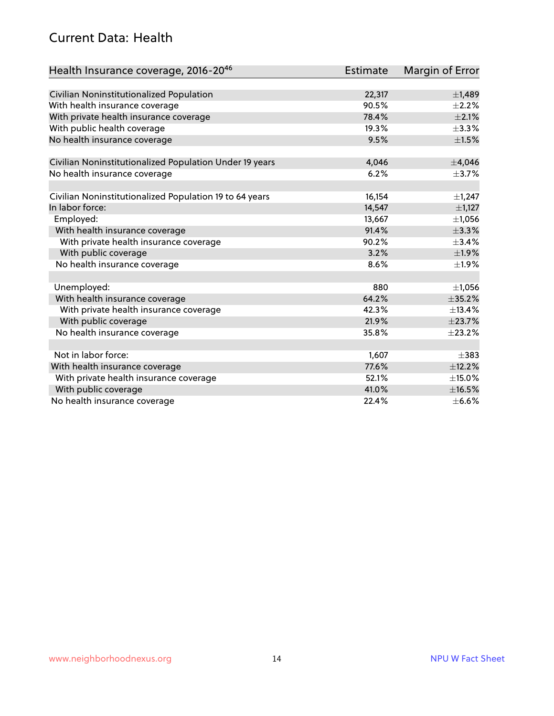#### Current Data: Health

| Health Insurance coverage, 2016-2046                    | <b>Estimate</b> | Margin of Error |
|---------------------------------------------------------|-----------------|-----------------|
|                                                         |                 |                 |
| Civilian Noninstitutionalized Population                | 22,317          | ±1,489          |
| With health insurance coverage                          | 90.5%           | $\pm 2.2\%$     |
| With private health insurance coverage                  | 78.4%           | $\pm 2.1\%$     |
| With public health coverage                             | 19.3%           | $\pm$ 3.3%      |
| No health insurance coverage                            | 9.5%            | $\pm 1.5\%$     |
| Civilian Noninstitutionalized Population Under 19 years | 4,046           | ±4,046          |
|                                                         | 6.2%            |                 |
| No health insurance coverage                            |                 | $\pm$ 3.7%      |
| Civilian Noninstitutionalized Population 19 to 64 years | 16,154          | $\pm$ 1,247     |
| In labor force:                                         | 14,547          | $\pm$ 1,127     |
| Employed:                                               | 13,667          | ±1,056          |
| With health insurance coverage                          | 91.4%           | ±3.3%           |
| With private health insurance coverage                  | 90.2%           | $\pm$ 3.4%      |
| With public coverage                                    | 3.2%            | $\pm$ 1.9%      |
| No health insurance coverage                            | 8.6%            | ±1.9%           |
|                                                         |                 |                 |
| Unemployed:                                             | 880             | $\pm$ 1,056     |
| With health insurance coverage                          | 64.2%           | ±35.2%          |
| With private health insurance coverage                  | 42.3%           | ±13.4%          |
| With public coverage                                    | 21.9%           | ±23.7%          |
| No health insurance coverage                            | 35.8%           | ±23.2%          |
|                                                         |                 |                 |
| Not in labor force:                                     | 1,607           | $\pm$ 383       |
| With health insurance coverage                          | 77.6%           | ±12.2%          |
| With private health insurance coverage                  | 52.1%           | $\pm$ 15.0%     |
| With public coverage                                    | 41.0%           | ±16.5%          |
| No health insurance coverage                            | 22.4%           | $\pm$ 6.6%      |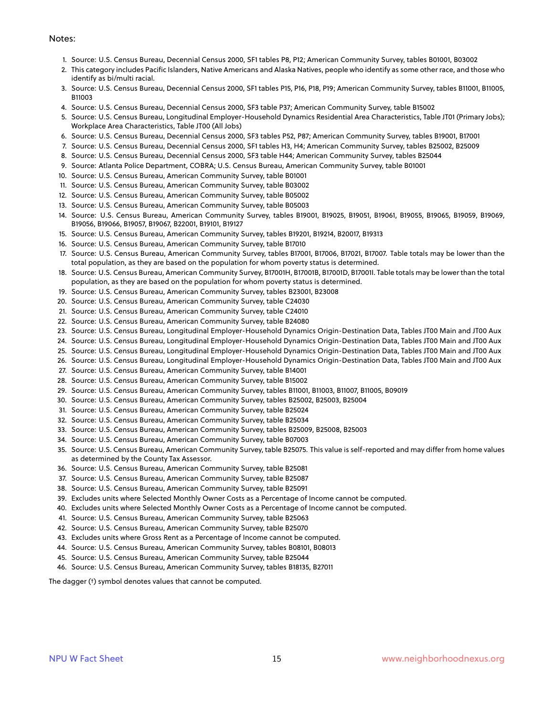#### Notes:

- 1. Source: U.S. Census Bureau, Decennial Census 2000, SF1 tables P8, P12; American Community Survey, tables B01001, B03002
- 2. This category includes Pacific Islanders, Native Americans and Alaska Natives, people who identify as some other race, and those who identify as bi/multi racial.
- 3. Source: U.S. Census Bureau, Decennial Census 2000, SF1 tables P15, P16, P18, P19; American Community Survey, tables B11001, B11005, B11003
- 4. Source: U.S. Census Bureau, Decennial Census 2000, SF3 table P37; American Community Survey, table B15002
- 5. Source: U.S. Census Bureau, Longitudinal Employer-Household Dynamics Residential Area Characteristics, Table JT01 (Primary Jobs); Workplace Area Characteristics, Table JT00 (All Jobs)
- 6. Source: U.S. Census Bureau, Decennial Census 2000, SF3 tables P52, P87; American Community Survey, tables B19001, B17001
- 7. Source: U.S. Census Bureau, Decennial Census 2000, SF1 tables H3, H4; American Community Survey, tables B25002, B25009
- 8. Source: U.S. Census Bureau, Decennial Census 2000, SF3 table H44; American Community Survey, tables B25044
- 9. Source: Atlanta Police Department, COBRA; U.S. Census Bureau, American Community Survey, table B01001
- 10. Source: U.S. Census Bureau, American Community Survey, table B01001
- 11. Source: U.S. Census Bureau, American Community Survey, table B03002
- 12. Source: U.S. Census Bureau, American Community Survey, table B05002
- 13. Source: U.S. Census Bureau, American Community Survey, table B05003
- 14. Source: U.S. Census Bureau, American Community Survey, tables B19001, B19025, B19051, B19061, B19055, B19065, B19059, B19069, B19056, B19066, B19057, B19067, B22001, B19101, B19127
- 15. Source: U.S. Census Bureau, American Community Survey, tables B19201, B19214, B20017, B19313
- 16. Source: U.S. Census Bureau, American Community Survey, table B17010
- 17. Source: U.S. Census Bureau, American Community Survey, tables B17001, B17006, B17021, B17007. Table totals may be lower than the total population, as they are based on the population for whom poverty status is determined.
- 18. Source: U.S. Census Bureau, American Community Survey, B17001H, B17001B, B17001D, B17001I. Table totals may be lower than the total population, as they are based on the population for whom poverty status is determined.
- 19. Source: U.S. Census Bureau, American Community Survey, tables B23001, B23008
- 20. Source: U.S. Census Bureau, American Community Survey, table C24030
- 21. Source: U.S. Census Bureau, American Community Survey, table C24010
- 22. Source: U.S. Census Bureau, American Community Survey, table B24080
- 23. Source: U.S. Census Bureau, Longitudinal Employer-Household Dynamics Origin-Destination Data, Tables JT00 Main and JT00 Aux
- 24. Source: U.S. Census Bureau, Longitudinal Employer-Household Dynamics Origin-Destination Data, Tables JT00 Main and JT00 Aux
- 25. Source: U.S. Census Bureau, Longitudinal Employer-Household Dynamics Origin-Destination Data, Tables JT00 Main and JT00 Aux
- 26. Source: U.S. Census Bureau, Longitudinal Employer-Household Dynamics Origin-Destination Data, Tables JT00 Main and JT00 Aux
- 27. Source: U.S. Census Bureau, American Community Survey, table B14001
- 28. Source: U.S. Census Bureau, American Community Survey, table B15002
- 29. Source: U.S. Census Bureau, American Community Survey, tables B11001, B11003, B11007, B11005, B09019
- 30. Source: U.S. Census Bureau, American Community Survey, tables B25002, B25003, B25004
- 31. Source: U.S. Census Bureau, American Community Survey, table B25024
- 32. Source: U.S. Census Bureau, American Community Survey, table B25034
- 33. Source: U.S. Census Bureau, American Community Survey, tables B25009, B25008, B25003
- 34. Source: U.S. Census Bureau, American Community Survey, table B07003
- 35. Source: U.S. Census Bureau, American Community Survey, table B25075. This value is self-reported and may differ from home values as determined by the County Tax Assessor.
- 36. Source: U.S. Census Bureau, American Community Survey, table B25081
- 37. Source: U.S. Census Bureau, American Community Survey, table B25087
- 38. Source: U.S. Census Bureau, American Community Survey, table B25091
- 39. Excludes units where Selected Monthly Owner Costs as a Percentage of Income cannot be computed.
- 40. Excludes units where Selected Monthly Owner Costs as a Percentage of Income cannot be computed.
- 41. Source: U.S. Census Bureau, American Community Survey, table B25063
- 42. Source: U.S. Census Bureau, American Community Survey, table B25070
- 43. Excludes units where Gross Rent as a Percentage of Income cannot be computed.
- 44. Source: U.S. Census Bureau, American Community Survey, tables B08101, B08013
- 45. Source: U.S. Census Bureau, American Community Survey, table B25044
- 46. Source: U.S. Census Bureau, American Community Survey, tables B18135, B27011

The dagger (†) symbol denotes values that cannot be computed.